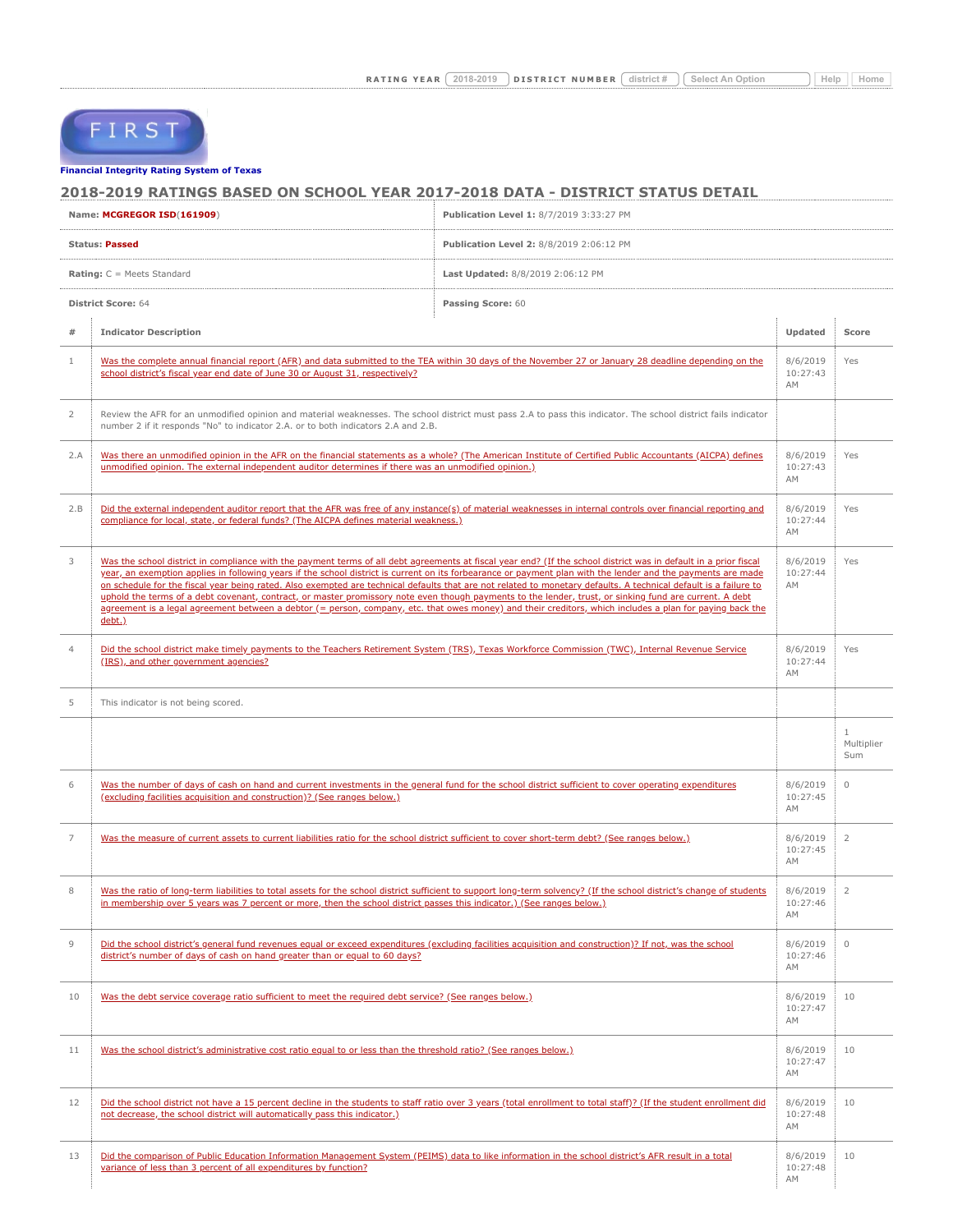FIRST

## **[Financial Integrity Rating Syste](https://tealprod.tea.state.tx.us/First/forms/Main.aspx)m of Texas**

## **2018-2019 RATINGS BASED ON SCHOOL YEAR 2017-2018 DATA - DISTRICT STATUS DETAIL**

|                                                | Name: MCGREGOR ISD(161909)<br>Publication Level 1: 8/7/2019 3:33:27 PM                                                                                                                                                                                                                                                                                                                                                                                                                                                                                                                                                                                                                                                                                                                                                                |                                          |                            |                                   |  |
|------------------------------------------------|---------------------------------------------------------------------------------------------------------------------------------------------------------------------------------------------------------------------------------------------------------------------------------------------------------------------------------------------------------------------------------------------------------------------------------------------------------------------------------------------------------------------------------------------------------------------------------------------------------------------------------------------------------------------------------------------------------------------------------------------------------------------------------------------------------------------------------------|------------------------------------------|----------------------------|-----------------------------------|--|
| <b>Status: Passed</b>                          |                                                                                                                                                                                                                                                                                                                                                                                                                                                                                                                                                                                                                                                                                                                                                                                                                                       | Publication Level 2: 8/8/2019 2:06:12 PM |                            |                                   |  |
| <b>Rating:</b> $C = Meets$ Standard            |                                                                                                                                                                                                                                                                                                                                                                                                                                                                                                                                                                                                                                                                                                                                                                                                                                       | Last Updated: 8/8/2019 2:06:12 PM        |                            |                                   |  |
| <b>District Score: 64</b><br>Passing Score: 60 |                                                                                                                                                                                                                                                                                                                                                                                                                                                                                                                                                                                                                                                                                                                                                                                                                                       |                                          |                            |                                   |  |
| #                                              | <b>Indicator Description</b>                                                                                                                                                                                                                                                                                                                                                                                                                                                                                                                                                                                                                                                                                                                                                                                                          |                                          | Updated                    | Score                             |  |
| $\mathbf{1}$                                   | Was the complete annual financial report (AFR) and data submitted to the TEA within 30 days of the November 27 or January 28 deadline depending on the<br>school district's fiscal year end date of June 30 or August 31, respectively?                                                                                                                                                                                                                                                                                                                                                                                                                                                                                                                                                                                               |                                          | 8/6/2019<br>10:27:43<br>AM | Yes                               |  |
| $\overline{2}$                                 | Review the AFR for an unmodified opinion and material weaknesses. The school district must pass 2.A to pass this indicator. The school district fails indicator<br>number 2 if it responds "No" to indicator 2.A. or to both indicators 2.A and 2.B.                                                                                                                                                                                                                                                                                                                                                                                                                                                                                                                                                                                  |                                          |                            |                                   |  |
| 2.A                                            | Was there an unmodified opinion in the AFR on the financial statements as a whole? (The American Institute of Certified Public Accountants (AICPA) defines<br>unmodified opinion. The external independent auditor determines if there was an unmodified opinion.)                                                                                                                                                                                                                                                                                                                                                                                                                                                                                                                                                                    |                                          | 8/6/2019<br>10:27:43<br>AM | Yes                               |  |
| 2.B                                            | Did the external independent auditor report that the AFR was free of any instance(s) of material weaknesses in internal controls over financial reporting and<br>compliance for local, state, or federal funds? (The AICPA defines material weakness.)                                                                                                                                                                                                                                                                                                                                                                                                                                                                                                                                                                                |                                          | 8/6/2019<br>10:27:44<br>AM | Yes                               |  |
| 3                                              | Was the school district in compliance with the payment terms of all debt agreements at fiscal year end? (If the school district was in default in a prior fiscal<br>year, an exemption applies in following years if the school district is current on its forbearance or payment plan with the lender and the payments are made<br>on schedule for the fiscal year being rated. Also exempted are technical defaults that are not related to monetary defaults. A technical default is a failure to<br>uphold the terms of a debt covenant, contract, or master promissory note even though payments to the lender, trust, or sinking fund are current. A debt<br>agreement is a legal agreement between a debtor (= person, company, etc. that owes money) and their creditors, which includes a plan for paying back the<br>debt.) |                                          | 8/6/2019<br>10:27:44<br>AM | Yes                               |  |
| $\overline{4}$                                 | Did the school district make timely payments to the Teachers Retirement System (TRS), Texas Workforce Commission (TWC), Internal Revenue Service<br>(IRS), and other government agencies?                                                                                                                                                                                                                                                                                                                                                                                                                                                                                                                                                                                                                                             |                                          | 8/6/2019<br>10:27:44<br>AM | Yes                               |  |
| 5                                              | This indicator is not being scored.                                                                                                                                                                                                                                                                                                                                                                                                                                                                                                                                                                                                                                                                                                                                                                                                   |                                          |                            |                                   |  |
|                                                |                                                                                                                                                                                                                                                                                                                                                                                                                                                                                                                                                                                                                                                                                                                                                                                                                                       |                                          |                            | $\mathbf{1}$<br>Multiplier<br>Sum |  |
| 6                                              | Was the number of days of cash on hand and current investments in the general fund for the school district sufficient to cover operating expenditures<br>(excluding facilities acquisition and construction)? (See ranges below.)                                                                                                                                                                                                                                                                                                                                                                                                                                                                                                                                                                                                     |                                          | 8/6/2019<br>10:27:45<br>AM | $\circ$                           |  |
| 7                                              | Was the measure of current assets to current liabilities ratio for the school district sufficient to cover short-term debt? (See ranges below.)                                                                                                                                                                                                                                                                                                                                                                                                                                                                                                                                                                                                                                                                                       |                                          | 8/6/2019<br>10:27:45<br>AM | $\overline{2}$                    |  |
| 8                                              | Was the ratio of long-term liabilities to total assets for the school district sufficient to support long-term solvency? (If the school district's change of students<br>in membership over 5 years was 7 percent or more, then the school district passes this indicator.) (See ranges below.)                                                                                                                                                                                                                                                                                                                                                                                                                                                                                                                                       |                                          | 8/6/2019<br>10:27:46<br>AM | $\overline{2}$                    |  |
| $\mathcal{G}$                                  | Did the school district's general fund revenues equal or exceed expenditures (excluding facilities acquisition and construction)? If not, was the school<br>district's number of days of cash on hand greater than or equal to 60 days?                                                                                                                                                                                                                                                                                                                                                                                                                                                                                                                                                                                               |                                          | 8/6/2019<br>10:27:46<br>AM | $\mathbb O$                       |  |
| 10                                             | Was the debt service coverage ratio sufficient to meet the required debt service? (See ranges below.)                                                                                                                                                                                                                                                                                                                                                                                                                                                                                                                                                                                                                                                                                                                                 |                                          | 8/6/2019<br>10:27:47<br>AM | 10                                |  |
| 11                                             | Was the school district's administrative cost ratio equal to or less than the threshold ratio? (See ranges below.)                                                                                                                                                                                                                                                                                                                                                                                                                                                                                                                                                                                                                                                                                                                    |                                          | 8/6/2019<br>10:27:47<br>AM | 10                                |  |
| 12                                             | Did the school district not have a 15 percent decline in the students to staff ratio over 3 years (total enrollment to total staff)? (If the student enrollment did<br>not decrease, the school district will automatically pass this indicator.)                                                                                                                                                                                                                                                                                                                                                                                                                                                                                                                                                                                     |                                          | 8/6/2019<br>10:27:48<br>AM | 10                                |  |
| 13                                             | Did the comparison of Public Education Information Management System (PEIMS) data to like information in the school district's AFR result in a total<br>variance of less than 3 percent of all expenditures by function?                                                                                                                                                                                                                                                                                                                                                                                                                                                                                                                                                                                                              |                                          | 8/6/2019<br>10:27:48<br>AM | 10                                |  |